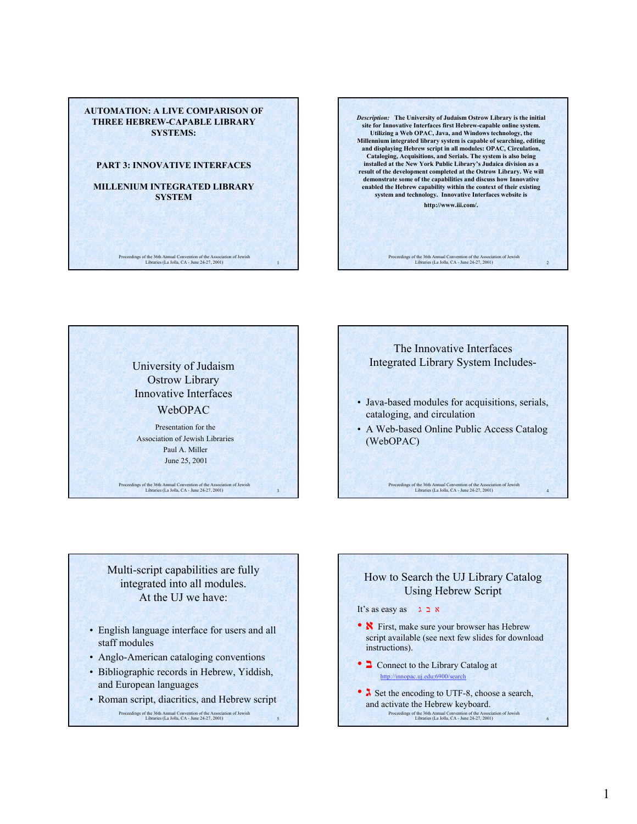

*Description:* **The University of Judaism Ostrow Library is the initial site for Innovative Interfaces first Hebrew-capable online system. Utilizing a Web OPAC, Java, and Windows technology, the Millennium integrated library system is capable of searching, editing and displaying Hebrew script in all modules: OPAC, Circulation, Cataloging, Acquisitions, and Serials. The system is also being installed at the New York Public Library's Judaica division as a result of the development completed at the Ostrow Library. We will demonstrate some of the capabilities and discuss how Innovative enabled the Hebrew capability within the context of their existing system and technology. Innovative Interfaces website is http://www.iii.com/.**

Proceedings of the 36th Annual Convention of the Association of Jewish Libraries (La Jolla, CA - June 24-27, 2001) 2

University of Judaism Ostrow Library Innovative Interfaces WebOPAC

Presentation for the Association of Jewish Libraries Paul A. Miller June 25, 2001

Proceedings of the 36th Annual Convention of the Association of Jewish Libraries (La Jolla, CA - June 24-27, 2001) 3

The Innovative Interfaces Integrated Library System Includes- • Java-based modules for acquisitions, serials, cataloging, and circulation

• A Web-based Online Public Access Catalog (WebOPAC)

Proceedings of the 36th Annual Convention of the Association of Jewish Libraries (La Jolla, CA - June 24-27, 2001) 4

Multi-script capabilities are fully integrated into all modules. At the UJ we have:

- English language interface for users and all staff modules
- Anglo-American cataloging conventions
- Bibliographic records in Hebrew, Yiddish, and European languages
- Roman script, diacritics, and Hebrew script

Proceedings of the 36th Annual Convention of the Association of Jewish Libraries (La Jolla, CA - June 24-27, 2001) 5

## How to Search the UJ Library Catalog Using Hebrew Script

## It's as easy as ג ב א

- $\mathbf{\hat{N}}$  First, make sure your browser has Hebrew script available (see next few slides for download instructions).
- **ב** Connect to the Library Catalog at http://innopac.uj.edu:6900/search
- Proceedings of the 36th Annual Convention of the Association of Jewish Libraries (La Jolla, CA June 24-27, 2001) 6 •  $\lambda$  Set the encoding to UTF-8, choose a search, and activate the Hebrew keyboard.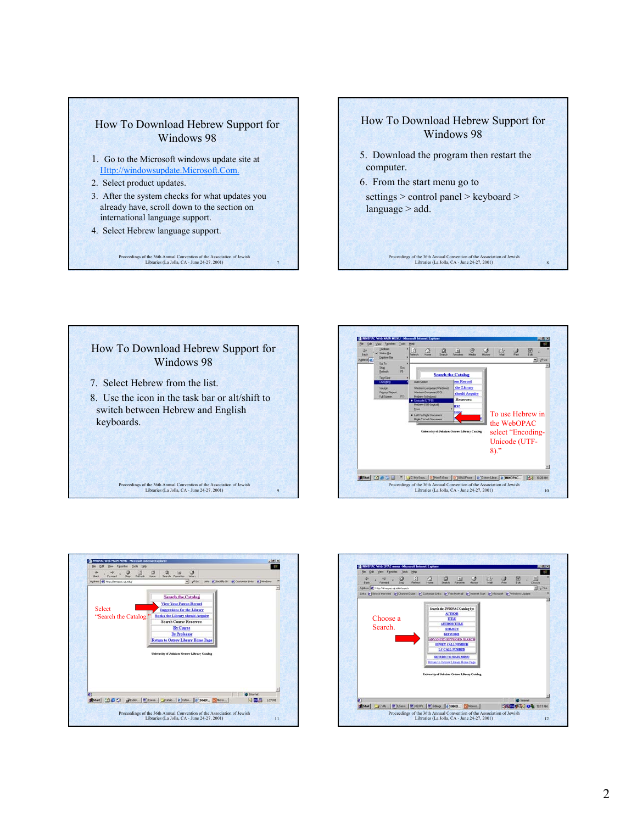









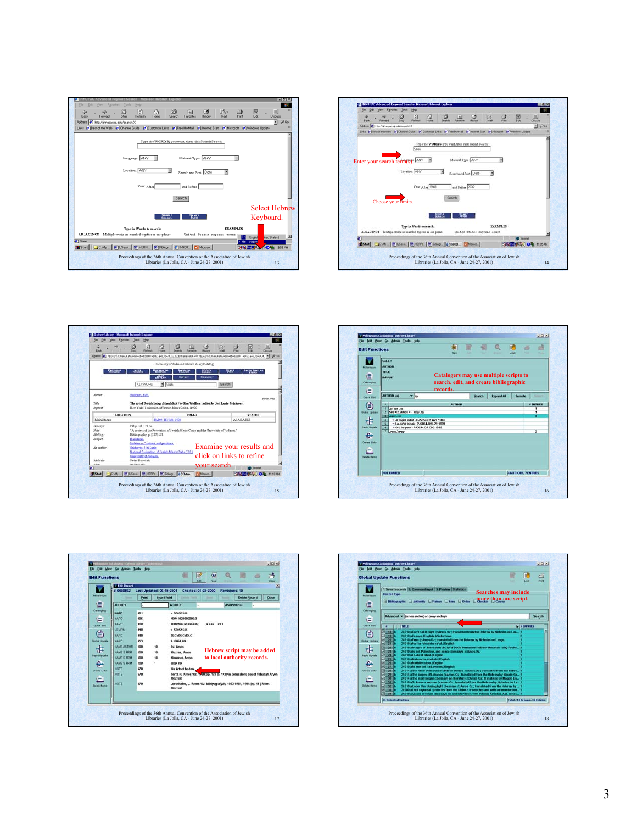